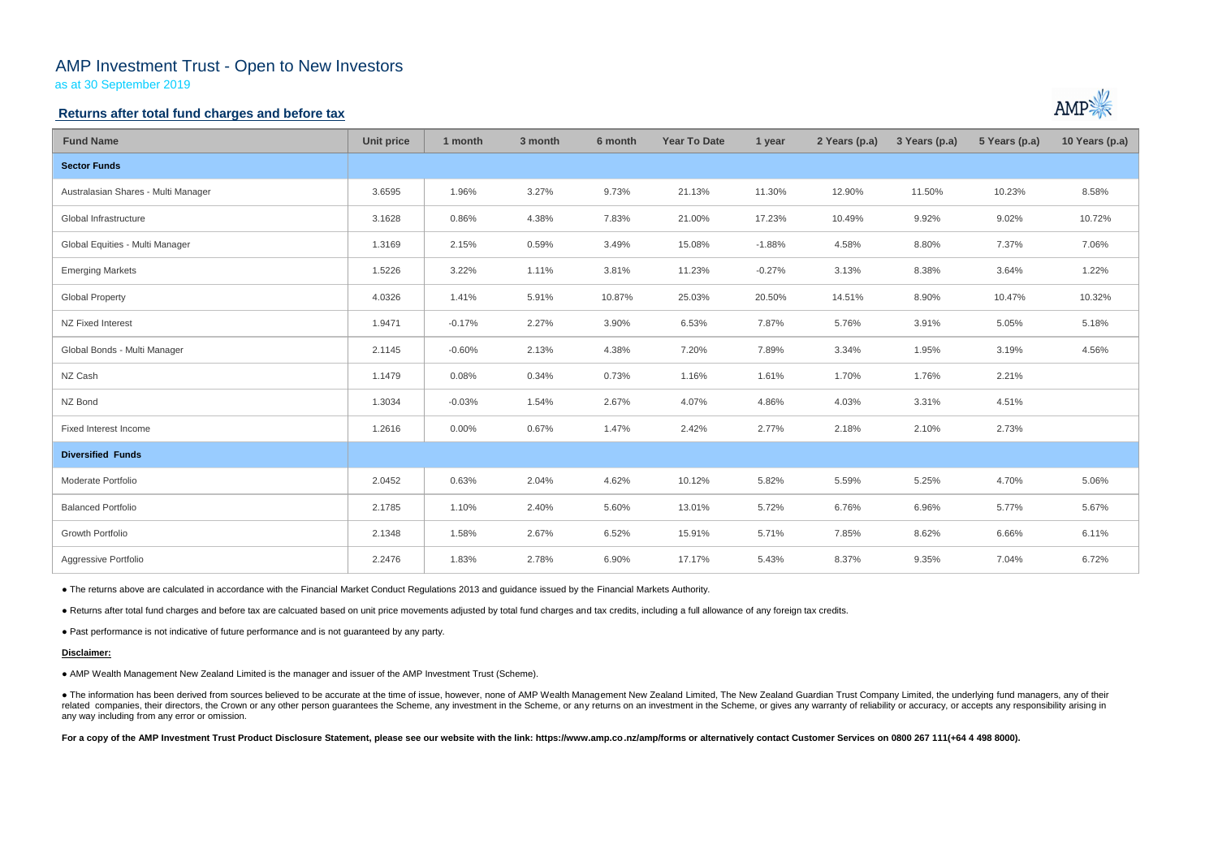# AMP Investment Trust - Open to New Investors

as at 30 September 2019

### **Returns after total fund charges and before tax**

| <b>Fund Name</b>                    | <b>Unit price</b> | 1 month  | 3 month | 6 month | <b>Year To Date</b> | 1 year   | 2 Years (p.a) | 3 Years (p.a) | 5 Years (p.a) | 10 Years (p.a) |
|-------------------------------------|-------------------|----------|---------|---------|---------------------|----------|---------------|---------------|---------------|----------------|
| <b>Sector Funds</b>                 |                   |          |         |         |                     |          |               |               |               |                |
| Australasian Shares - Multi Manager | 3.6595            | 1.96%    | 3.27%   | 9.73%   | 21.13%              | 11.30%   | 12.90%        | 11.50%        | 10.23%        | 8.58%          |
| Global Infrastructure               | 3.1628            | 0.86%    | 4.38%   | 7.83%   | 21.00%              | 17.23%   | 10.49%        | 9.92%         | 9.02%         | 10.72%         |
| Global Equities - Multi Manager     | 1.3169            | 2.15%    | 0.59%   | 3.49%   | 15.08%              | $-1.88%$ | 4.58%         | 8.80%         | 7.37%         | 7.06%          |
| <b>Emerging Markets</b>             | 1.5226            | 3.22%    | 1.11%   | 3.81%   | 11.23%              | $-0.27%$ | 3.13%         | 8.38%         | 3.64%         | 1.22%          |
| <b>Global Property</b>              | 4.0326            | 1.41%    | 5.91%   | 10.87%  | 25.03%              | 20.50%   | 14.51%        | 8.90%         | 10.47%        | 10.32%         |
| NZ Fixed Interest                   | 1.9471            | $-0.17%$ | 2.27%   | 3.90%   | 6.53%               | 7.87%    | 5.76%         | 3.91%         | 5.05%         | 5.18%          |
| Global Bonds - Multi Manager        | 2.1145            | $-0.60%$ | 2.13%   | 4.38%   | 7.20%               | 7.89%    | 3.34%         | 1.95%         | 3.19%         | 4.56%          |
| NZ Cash                             | 1.1479            | 0.08%    | 0.34%   | 0.73%   | 1.16%               | 1.61%    | 1.70%         | 1.76%         | 2.21%         |                |
| NZ Bond                             | 1.3034            | $-0.03%$ | 1.54%   | 2.67%   | 4.07%               | 4.86%    | 4.03%         | 3.31%         | 4.51%         |                |
| Fixed Interest Income               | 1.2616            | $0.00\%$ | 0.67%   | 1.47%   | 2.42%               | 2.77%    | 2.18%         | 2.10%         | 2.73%         |                |
| <b>Diversified Funds</b>            |                   |          |         |         |                     |          |               |               |               |                |
| Moderate Portfolio                  | 2.0452            | 0.63%    | 2.04%   | 4.62%   | 10.12%              | 5.82%    | 5.59%         | 5.25%         | 4.70%         | 5.06%          |
| <b>Balanced Portfolio</b>           | 2.1785            | 1.10%    | 2.40%   | 5.60%   | 13.01%              | 5.72%    | 6.76%         | 6.96%         | 5.77%         | 5.67%          |
| Growth Portfolio                    | 2.1348            | 1.58%    | 2.67%   | 6.52%   | 15.91%              | 5.71%    | 7.85%         | 8.62%         | 6.66%         | 6.11%          |
| Aggressive Portfolio                | 2.2476            | 1.83%    | 2.78%   | 6.90%   | 17.17%              | 5.43%    | 8.37%         | 9.35%         | 7.04%         | 6.72%          |

• The information has been derived from sources believed to be accurate at the time of issue, however, none of AMP Wealth Management New Zealand Limited, The New Zealand Guardian Trust Company Limited, the underlying fund related companies, their directors, the Crown or any other person guarantees the Scheme, any investment in the Scheme, or any returns on an investment in the Scheme, or gives any warranty of reliability or accuracy, or acc any way including from any error or omission.

For a copy of the AMP Investment Trust Product Disclosure Statement, please see our website with the link: https://www.amp.co.nz/amp/forms or alternatively contact Customer Services on 0800 267 111(+64 4 498 8000).



● The returns above are calculated in accordance with the Financial Market Conduct Regulations 2013 and guidance issued by the Financial Markets Authority.

● Returns after total fund charges and before tax are calcuated based on unit price movements adjusted by total fund charges and tax credits, including a full allowance of any foreign tax credits.

● Past performance is not indicative of future performance and is not guaranteed by any party.

#### **Disclaimer:**

● AMP Wealth Management New Zealand Limited is the manager and issuer of the AMP Investment Trust (Scheme).